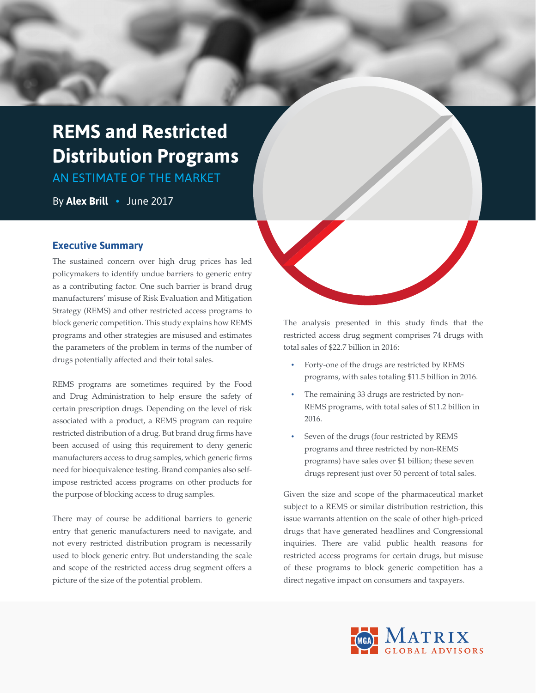# **REMS and Restricted Distribution Programs**

AN ESTIMATE OF THE MARKET

By **Alex Brill •** June 2017

## **Executive Summary**

The sustained concern over high drug prices has led policymakers to identify undue barriers to generic entry as a contributing factor. One such barrier is brand drug manufacturers' misuse of Risk Evaluation and Mitigation Strategy (REMS) and other restricted access programs to block generic competition. This study explains how REMS programs and other strategies are misused and estimates the parameters of the problem in terms of the number of drugs potentially affected and their total sales.

REMS programs are sometimes required by the Food and Drug Administration to help ensure the safety of certain prescription drugs. Depending on the level of risk associated with a product, a REMS program can require restricted distribution of a drug. But brand drug firms have been accused of using this requirement to deny generic manufacturers access to drug samples, which generic firms need for bioequivalence testing. Brand companies also selfimpose restricted access programs on other products for the purpose of blocking access to drug samples.

There may of course be additional barriers to generic entry that generic manufacturers need to navigate, and not every restricted distribution program is necessarily used to block generic entry. But understanding the scale and scope of the restricted access drug segment offers a picture of the size of the potential problem.

The analysis presented in this study finds that the restricted access drug segment comprises 74 drugs with total sales of \$22.7 billion in 2016:

- Forty-one of the drugs are restricted by REMS programs, with sales totaling \$11.5 billion in 2016.
- The remaining 33 drugs are restricted by non-REMS programs, with total sales of \$11.2 billion in 2016.
- Seven of the drugs (four restricted by REMS programs and three restricted by non-REMS programs) have sales over \$1 billion; these seven drugs represent just over 50 percent of total sales.

Given the size and scope of the pharmaceutical market subject to a REMS or similar distribution restriction, this issue warrants attention on the scale of other high-priced drugs that have generated headlines and Congressional inquiries. There are valid public health reasons for restricted access programs for certain drugs, but misuse of these programs to block generic competition has a direct negative impact on consumers and taxpayers.

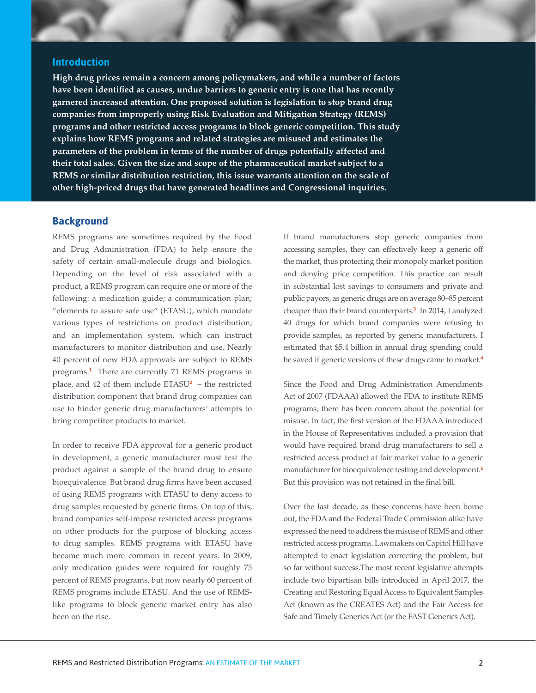#### **Introduction**

**High drug prices remain a concern among policymakers, and while a number of factors have been identified as causes, undue barriers to generic entry is one that has recently garnered increased attention. One proposed solution is legislation to stop brand drug companies from improperly using Risk Evaluation and Mitigation Strategy (REMS) programs and other restricted access programs to block generic competition. This study explains how REMS programs and related strategies are misused and estimates the parameters of the problem in terms of the number of drugs potentially affected and their total sales. Given the size and scope of the pharmaceutical market subject to a REMS or similar distribution restriction, this issue warrants attention on the scale of other high-priced drugs that have generated headlines and Congressional inquiries.** 

#### **Background**

REMS programs are sometimes required by the Food and Drug Administration (FDA) to help ensure the safety of certain small-molecule drugs and biologics. Depending on the level of risk associated with a product, a REMS program can require one or more of the following: a medication guide; a communication plan; "elements to assure safe use" (ETASU), which mandate various types of restrictions on product distribution; and an implementation system, which can instruct manufacturers to monitor distribution and use. Nearly 40 percent of new FDA approvals are subject to REMS programs.**<sup>1</sup>** There are currently 71 REMS programs in place, and 42 of them include ETASU**<sup>2</sup>** – the restricted distribution component that brand drug companies can use to hinder generic drug manufacturers' attempts to bring competitor products to market.

In order to receive FDA approval for a generic product in development, a generic manufacturer must test the product against a sample of the brand drug to ensure bioequivalence. But brand drug firms have been accused of using REMS programs with ETASU to deny access to drug samples requested by generic firms. On top of this, brand companies self-impose restricted access programs on other products for the purpose of blocking access to drug samples. REMS programs with ETASU have become much more common in recent years. In 2009, only medication guides were required for roughly 75 percent of REMS programs, but now nearly 60 percent of REMS programs include ETASU. And the use of REMSlike programs to block generic market entry has also been on the rise.

If brand manufacturers stop generic companies from accessing samples, they can effectively keep a generic off the market, thus protecting their monopoly market position and denying price competition. This practice can result in substantial lost savings to consumers and private and public payors, as generic drugs are on average 80–85 percent cheaper than their brand counterparts.**<sup>3</sup>** In 2014, I analyzed 40 drugs for which brand companies were refusing to provide samples, as reported by generic manufacturers. I estimated that \$5.4 billion in annual drug spending could be saved if generic versions of these drugs came to market.**<sup>4</sup>**

Since the Food and Drug Administration Amendments Act of 2007 (FDAAA) allowed the FDA to institute REMS programs, there has been concern about the potential for misuse. In fact, the first version of the FDAAA introduced in the House of Representatives included a provision that would have required brand drug manufacturers to sell a restricted access product at fair market value to a generic manufacturer for bioequivalence testing and development.**<sup>5</sup>** But this provision was not retained in the final bill.

Over the last decade, as these concerns have been borne out, the FDA and the Federal Trade Commission alike have expressed the need to address the misuse of REMS and other restricted access programs. Lawmakers on Capitol Hill have attempted to enact legislation correcting the problem, but so far without success.The most recent legislative attempts include two bipartisan bills introduced in April 2017, the Creating and Restoring Equal Access to Equivalent Samples Act (known as the CREATES Act) and the Fair Access for Safe and Timely Generics Act (or the FAST Generics Act).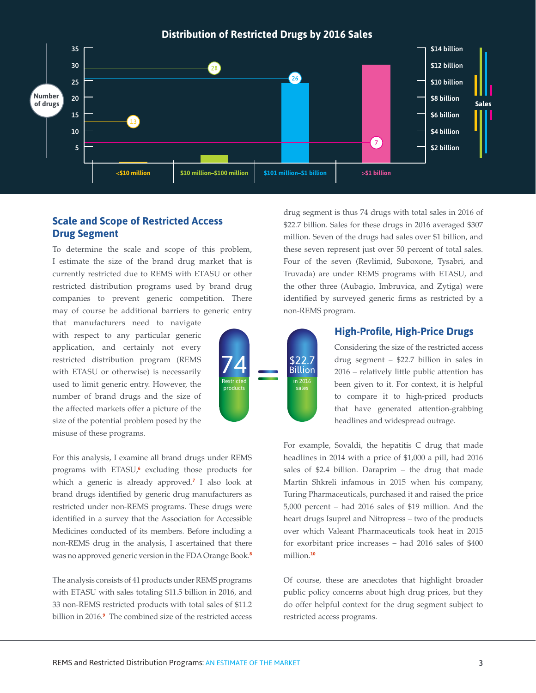**Distribution of Restricted Drugs by 2016 Sales** 35 \$14 billion 30 \$12 billion 25 \$10 billion **Number** 20 \$8 billion **of drugs Sales** 15 \$6 billion 10 \$4 billion  $\left( 7\right)$ 5 \$2 billion **<\$10 million \$10 million–\$100 million \$101 million–\$1 billion >\$1 billion**

## **Scale and Scope of Restricted Access Drug Segment**

To determine the scale and scope of this problem, I estimate the size of the brand drug market that is currently restricted due to REMS with ETASU or other restricted distribution programs used by brand drug companies to prevent generic competition. There may of course be additional barriers to generic entry

that manufacturers need to navigate with respect to any particular generic application, and certainly not every restricted distribution program (REMS with ETASU or otherwise) is necessarily used to limit generic entry. However, the number of brand drugs and the size of the affected markets offer a picture of the size of the potential problem posed by the misuse of these programs.

For this analysis, I examine all brand drugs under REMS programs with ETASU,**<sup>6</sup>** excluding those products for which a generic is already approved.**<sup>7</sup>** I also look at brand drugs identified by generic drug manufacturers as restricted under non-REMS programs. These drugs were identified in a survey that the Association for Accessible Medicines conducted of its members. Before including a non-REMS drug in the analysis, I ascertained that there was no approved generic version in the FDA Orange Book.**<sup>8</sup>**

The analysis consists of 41 products under REMS programs with ETASU with sales totaling \$11.5 billion in 2016, and 33 non-REMS restricted products with total sales of \$11.2 billion in 2016.**<sup>9</sup>** The combined size of the restricted access

\$22.7 **Billion** Restricted products sales

non-REMS program. **High-Profile, High-Price Drugs**

drug segment is thus 74 drugs with total sales in 2016 of \$22.7 billion. Sales for these drugs in 2016 averaged \$307 million. Seven of the drugs had sales over \$1 billion, and these seven represent just over 50 percent of total sales. Four of the seven (Revlimid, Suboxone, Tysabri, and Truvada) are under REMS programs with ETASU, and the other three (Aubagio, Imbruvica, and Zytiga) were identified by surveyed generic firms as restricted by a

> Considering the size of the restricted access drug segment – \$22.7 billion in sales in 2016 – relatively little public attention has been given to it. For context, it is helpful to compare it to high-priced products that have generated attention-grabbing headlines and widespread outrage.

For example, Sovaldi, the hepatitis C drug that made headlines in 2014 with a price of \$1,000 a pill, had 2016 sales of \$2.4 billion. Daraprim – the drug that made Martin Shkreli infamous in 2015 when his company, Turing Pharmaceuticals, purchased it and raised the price 5,000 percent – had 2016 sales of \$19 million. And the heart drugs Isuprel and Nitropress – two of the products over which Valeant Pharmaceuticals took heat in 2015 for exorbitant price increases – had 2016 sales of \$400 million.**<sup>10</sup>**

Of course, these are anecdotes that highlight broader public policy concerns about high drug prices, but they do offer helpful context for the drug segment subject to restricted access programs.